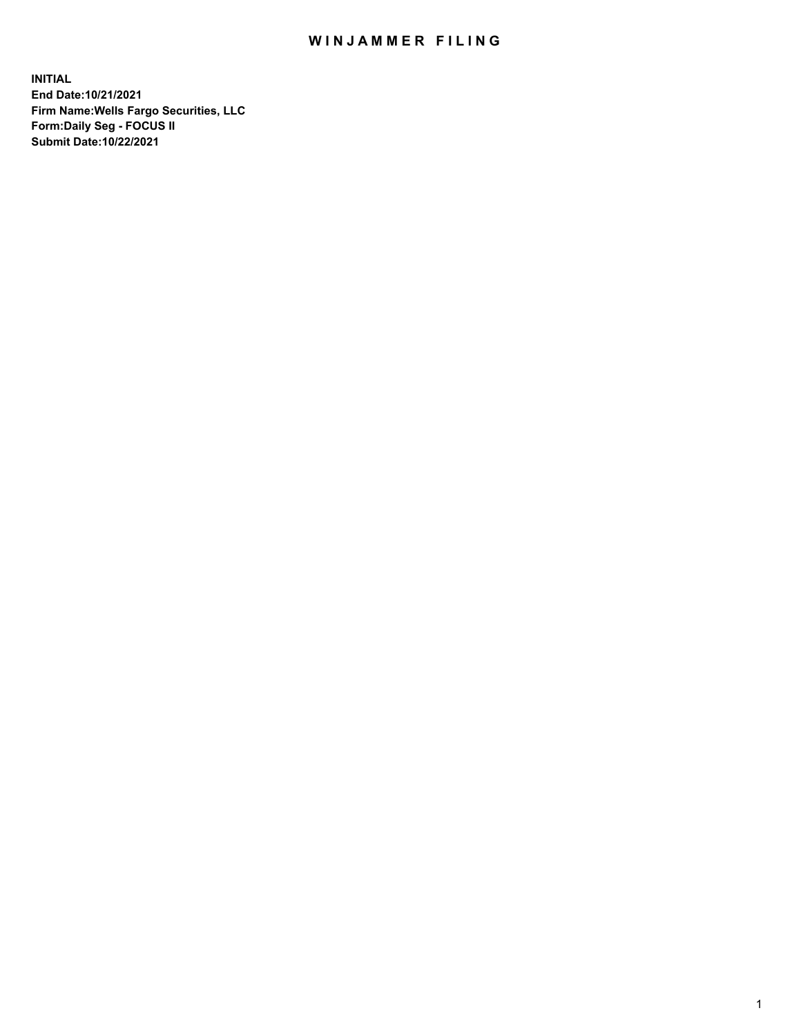## WIN JAMMER FILING

**INITIAL End Date:10/21/2021 Firm Name:Wells Fargo Securities, LLC Form:Daily Seg - FOCUS II Submit Date:10/22/2021**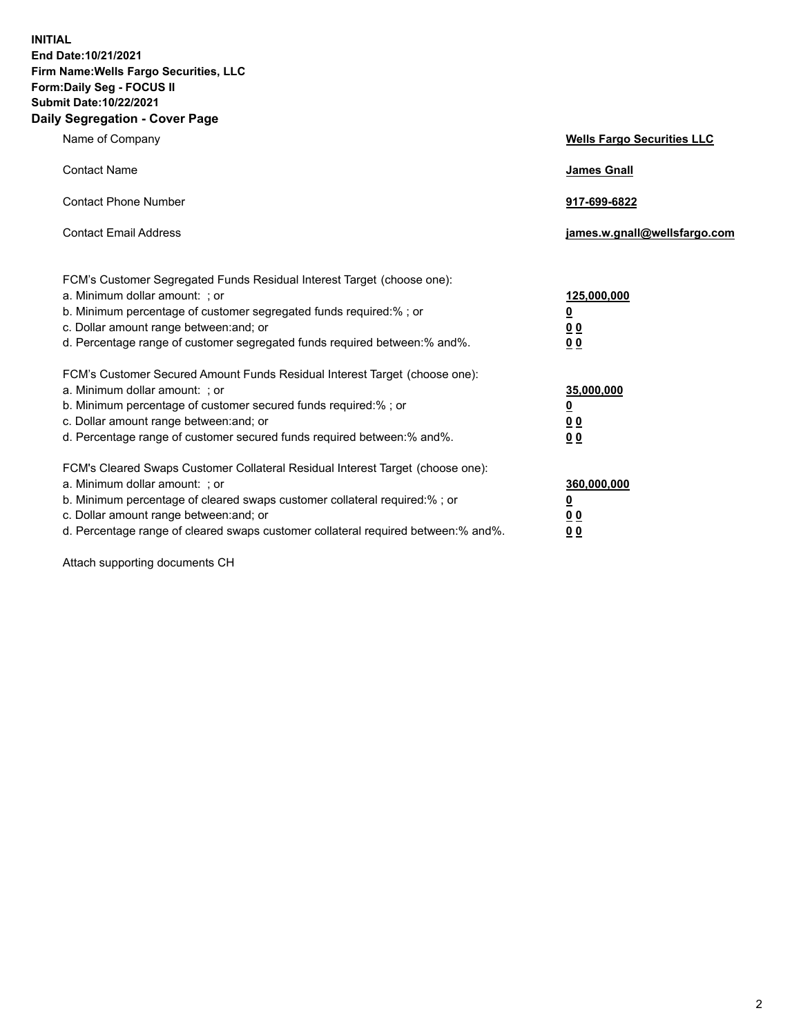**INITIAL End Date:10/21/2021 Firm Name:Wells Fargo Securities, LLC Form:Daily Seg - FOCUS II Submit Date:10/22/2021 Daily Segregation - Cover Page**

| Name of Company                                                                                                                                                                                                                                                                                                                | <b>Wells Fargo Securities LLC</b>                          |
|--------------------------------------------------------------------------------------------------------------------------------------------------------------------------------------------------------------------------------------------------------------------------------------------------------------------------------|------------------------------------------------------------|
| <b>Contact Name</b>                                                                                                                                                                                                                                                                                                            | <b>James Gnall</b>                                         |
| <b>Contact Phone Number</b>                                                                                                                                                                                                                                                                                                    | 917-699-6822                                               |
| <b>Contact Email Address</b>                                                                                                                                                                                                                                                                                                   | james.w.gnall@wellsfargo.com                               |
| FCM's Customer Segregated Funds Residual Interest Target (choose one):<br>a. Minimum dollar amount: ; or<br>b. Minimum percentage of customer segregated funds required:% ; or<br>c. Dollar amount range between: and; or<br>d. Percentage range of customer segregated funds required between: % and %.                       | 125,000,000<br><u>0</u><br><u>00</u><br>0 <sub>0</sub>     |
| FCM's Customer Secured Amount Funds Residual Interest Target (choose one):<br>a. Minimum dollar amount: ; or<br>b. Minimum percentage of customer secured funds required:% ; or<br>c. Dollar amount range between: and; or<br>d. Percentage range of customer secured funds required between: % and %.                         | 35,000,000<br><u>0</u><br>0 <sub>0</sub><br>0 <sub>0</sub> |
| FCM's Cleared Swaps Customer Collateral Residual Interest Target (choose one):<br>a. Minimum dollar amount: ; or<br>b. Minimum percentage of cleared swaps customer collateral required:% ; or<br>c. Dollar amount range between: and; or<br>d. Percentage range of cleared swaps customer collateral required between:% and%. | 360,000,000<br><u>0</u><br>00<br><u>00</u>                 |

Attach supporting documents CH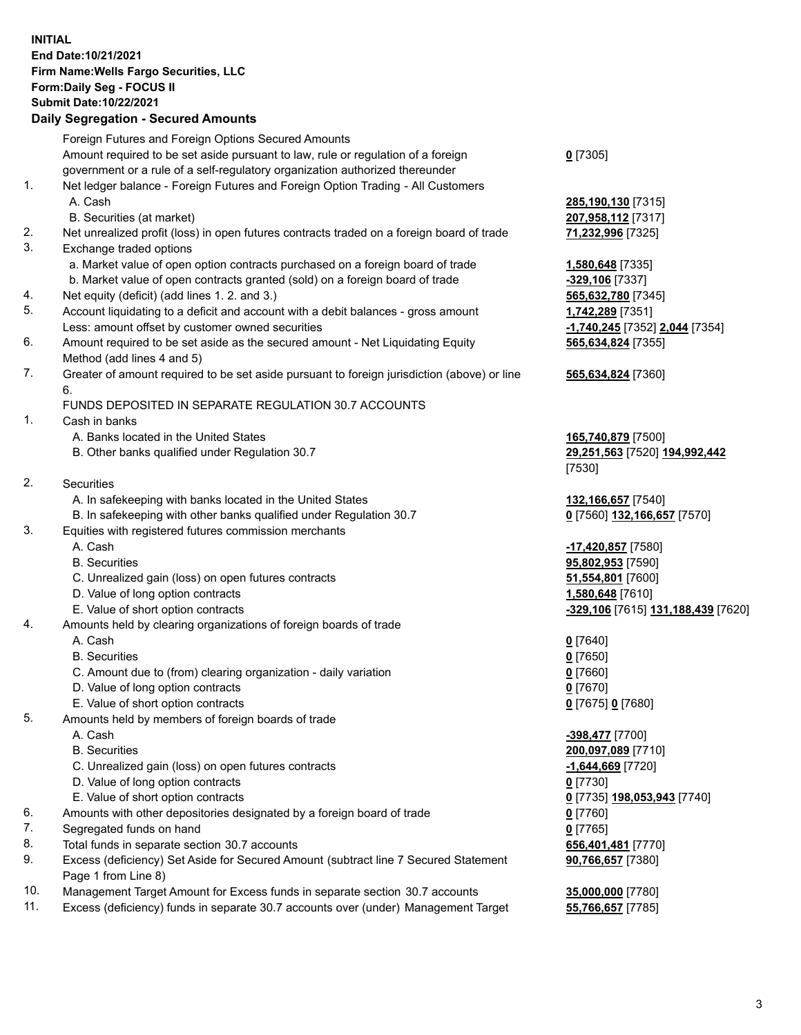## **INITIAL End Date:10/21/2021 Firm Name:Wells Fargo Securities, LLC Form:Daily Seg - FOCUS II Submit Date:10/22/2021**

## **Daily Segregation - Secured Amounts**

|    | Foreign Futures and Foreign Options Secured Amounts                                         |                                    |
|----|---------------------------------------------------------------------------------------------|------------------------------------|
|    | Amount required to be set aside pursuant to law, rule or regulation of a foreign            | $0$ [7305]                         |
|    | government or a rule of a self-regulatory organization authorized thereunder                |                                    |
| 1. | Net ledger balance - Foreign Futures and Foreign Option Trading - All Customers             |                                    |
|    | A. Cash                                                                                     | 285,190,130 [7315]                 |
|    | B. Securities (at market)                                                                   | 207,958,112 [7317]                 |
| 2. | Net unrealized profit (loss) in open futures contracts traded on a foreign board of trade   | 71,232,996 [7325]                  |
| 3. | Exchange traded options                                                                     |                                    |
|    | a. Market value of open option contracts purchased on a foreign board of trade              | 1,580,648 [7335]                   |
|    | b. Market value of open contracts granted (sold) on a foreign board of trade                | -329,106 [7337]                    |
| 4. | Net equity (deficit) (add lines 1. 2. and 3.)                                               | 565,632,780 [7345]                 |
| 5. | Account liquidating to a deficit and account with a debit balances - gross amount           | 1,742,289 [7351]                   |
|    | Less: amount offset by customer owned securities                                            | -1,740,245 [7352] 2,044 [7354]     |
| 6. | Amount required to be set aside as the secured amount - Net Liquidating Equity              | 565,634,824 [7355]                 |
|    | Method (add lines 4 and 5)                                                                  |                                    |
| 7. | Greater of amount required to be set aside pursuant to foreign jurisdiction (above) or line | 565,634,824 [7360]                 |
|    | 6.                                                                                          |                                    |
|    | FUNDS DEPOSITED IN SEPARATE REGULATION 30.7 ACCOUNTS                                        |                                    |
| 1. | Cash in banks                                                                               |                                    |
|    | A. Banks located in the United States                                                       | 165,740,879 [7500]                 |
|    | B. Other banks qualified under Regulation 30.7                                              | 29,251,563 [7520] 194,992,442      |
|    |                                                                                             | [7530]                             |
| 2. | Securities                                                                                  |                                    |
|    | A. In safekeeping with banks located in the United States                                   | 132,166,657 [7540]                 |
|    | B. In safekeeping with other banks qualified under Regulation 30.7                          | 0 [7560] 132,166,657 [7570]        |
| 3. | Equities with registered futures commission merchants                                       |                                    |
|    | A. Cash                                                                                     | -17,420,857 [7580]                 |
|    | <b>B.</b> Securities                                                                        | 95,802,953 [7590]                  |
|    | C. Unrealized gain (loss) on open futures contracts                                         | 51,554,801 [7600]                  |
|    | D. Value of long option contracts                                                           | 1,580,648 [7610]                   |
|    | E. Value of short option contracts                                                          | -329,106 [7615] 131,188,439 [7620] |
| 4. | Amounts held by clearing organizations of foreign boards of trade                           |                                    |
|    | A. Cash                                                                                     | $0$ [7640]                         |
|    | <b>B.</b> Securities                                                                        | $0$ [7650]                         |
|    | C. Amount due to (from) clearing organization - daily variation                             | $0$ [7660]                         |
|    | D. Value of long option contracts                                                           | $0$ [7670]                         |
|    | E. Value of short option contracts                                                          | 0 [7675] 0 [7680]                  |
| 5. | Amounts held by members of foreign boards of trade                                          |                                    |
|    | A. Cash                                                                                     | -398,477 [7700]                    |
|    | <b>B.</b> Securities                                                                        | 200,097,089 [7710]                 |
|    | C. Unrealized gain (loss) on open futures contracts                                         | <u>-1,644,669</u> [7720]           |
|    | D. Value of long option contracts                                                           | $0$ [7730]                         |
|    | E. Value of short option contracts                                                          | 0 [7735] 198,053,943 [7740]        |
| 6. | Amounts with other depositories designated by a foreign board of trade                      | $0$ [7760]                         |
| 7. | Segregated funds on hand                                                                    | $0$ [7765]                         |
| 8. | Total funds in separate section 30.7 accounts                                               | 656,401,481 [7770]                 |
| 9. | Excess (deficiency) Set Aside for Secured Amount (subtract line 7 Secured Statement         | 90,766,657 [7380]                  |
|    | Page 1 from Line 8)                                                                         |                                    |

- 10. Management Target Amount for Excess funds in separate section 30.7 accounts **35,000,000** [7780]
- 11. Excess (deficiency) funds in separate 30.7 accounts over (under) Management Target **55,766,657** [7785]

3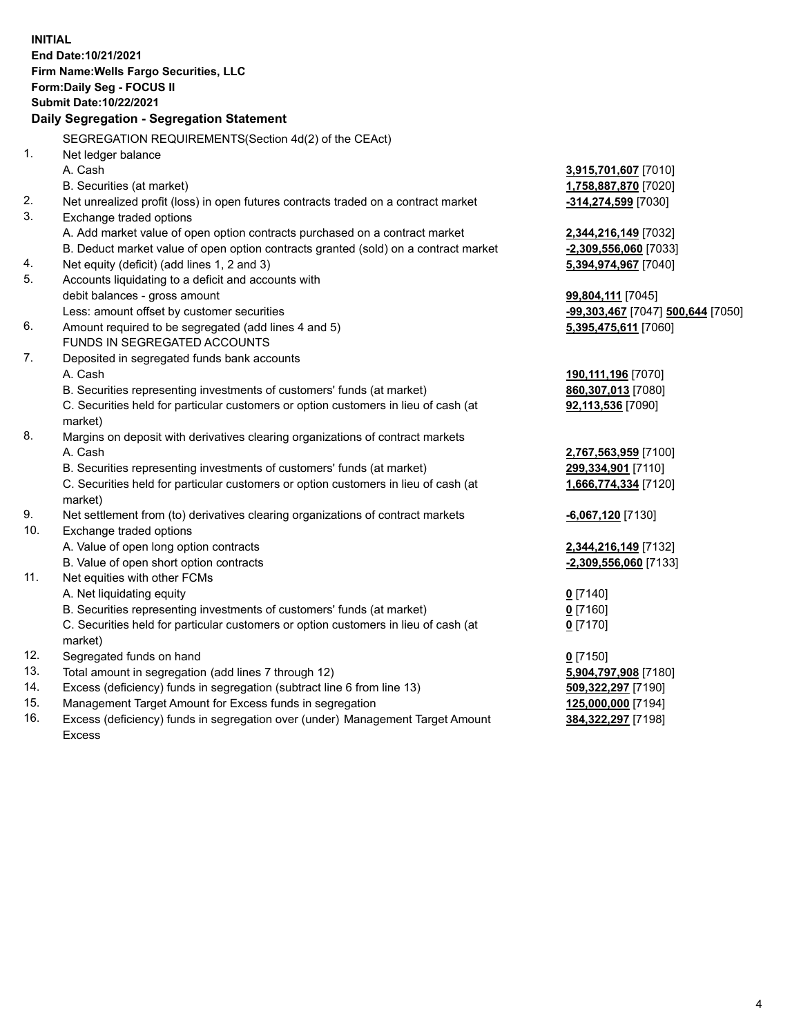**INITIAL End Date:10/21/2021 Firm Name:Wells Fargo Securities, LLC Form:Daily Seg - FOCUS II Submit Date:10/22/2021 Daily Segregation - Segregation Statement** SEGREGATION REQUIREMENTS(Section 4d(2) of the CEAct) 1. Net ledger balance A. Cash **3,915,701,607** [7010] B. Securities (at market) **1,758,887,870** [7020] 2. Net unrealized profit (loss) in open futures contracts traded on a contract market **-314,274,599** [7030] 3. Exchange traded options A. Add market value of open option contracts purchased on a contract market **2,344,216,149** [7032] B. Deduct market value of open option contracts granted (sold) on a contract market **-2,309,556,060** [7033] 4. Net equity (deficit) (add lines 1, 2 and 3) **5,394,974,967** [7040] 5. Accounts liquidating to a deficit and accounts with debit balances - gross amount **99,804,111** [7045] Less: amount offset by customer securities **-99,303,467** [7047] **500,644** [7050] 6. Amount required to be segregated (add lines 4 and 5) **5,395,475,611** [7060] FUNDS IN SEGREGATED ACCOUNTS 7. Deposited in segregated funds bank accounts A. Cash **190,111,196** [7070] B. Securities representing investments of customers' funds (at market) **860,307,013** [7080] C. Securities held for particular customers or option customers in lieu of cash (at market) **92,113,536** [7090] 8. Margins on deposit with derivatives clearing organizations of contract markets A. Cash **2,767,563,959** [7100] B. Securities representing investments of customers' funds (at market) **299,334,901** [7110] C. Securities held for particular customers or option customers in lieu of cash (at market) **1,666,774,334** [7120] 9. Net settlement from (to) derivatives clearing organizations of contract markets **-6,067,120** [7130] 10. Exchange traded options A. Value of open long option contracts **2,344,216,149** [7132] B. Value of open short option contracts **-2,309,556,060** [7133] 11. Net equities with other FCMs A. Net liquidating equity **0** [7140] B. Securities representing investments of customers' funds (at market) **0** [7160] C. Securities held for particular customers or option customers in lieu of cash (at market) **0** [7170] 12. Segregated funds on hand **0** [7150] 13. Total amount in segregation (add lines 7 through 12) **5,904,797,908** [7180] 14. Excess (deficiency) funds in segregation (subtract line 6 from line 13) **509,322,297** [7190] 15. Management Target Amount for Excess funds in segregation **125,000,000** [7194]

16. Excess (deficiency) funds in segregation over (under) Management Target Amount Excess

**384,322,297** [7198]